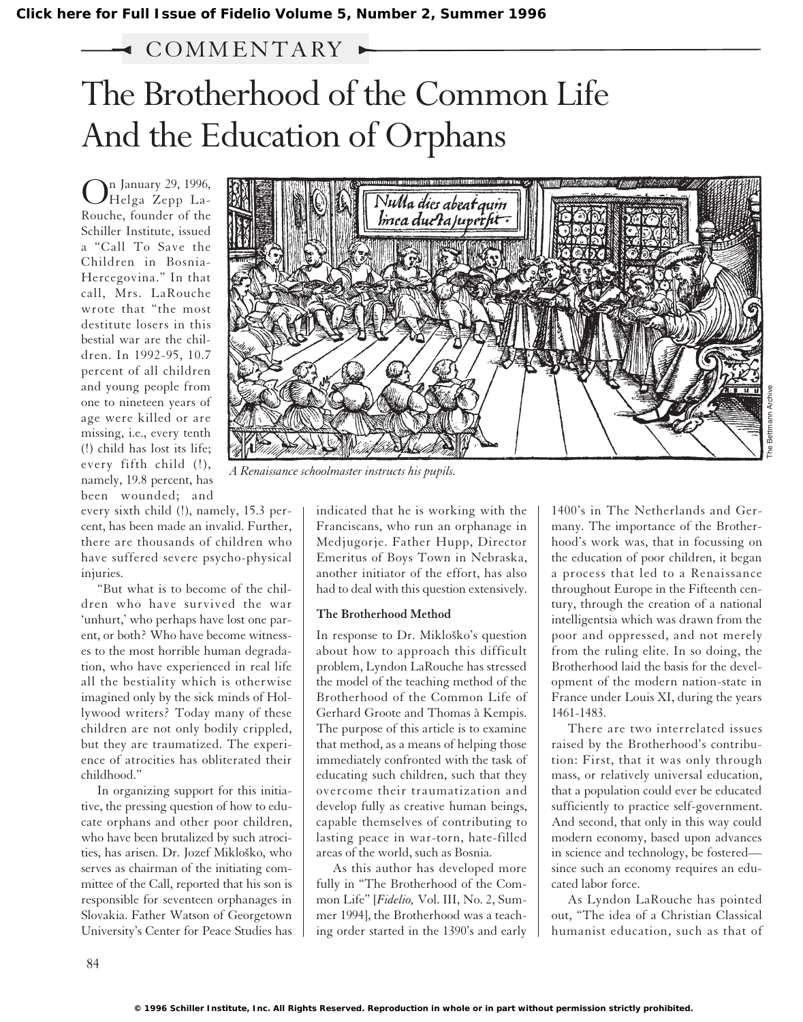# COMM ENTARY

# The Brotherhood of the Common Life And the Education of Orphans

n January 29, 1996, Helga Zepp La-Rouche, founder of the Schiller Institute, issued a "Call To Save the Children in Bosnia-Hercegovina." In that call, Mrs. LaRouche wrote that "the most destitute losers in this bestial war are the children. In 1992-95, 10.7 percent of all children and young people from one to nineteen years of age were killed or are missing, i.e., every tenth (!) child has lost its life; every fifth child (!), namely, 19.8 percent, has been wounded; and

every sixth child (!), namely, 15.3 percent, has been made an invalid. Further, there are thousands of children who have suffered severe psycho-physical injuries.

"But what is to become of the children who have survived the war 'unhurt,' who perhaps have lost one parent, or both? Who have become witnesses to the most horrible human degradation, who have experienced in real life all the bestiality which is otherwise imagined only by the sick minds of Hollywood writers? Today many of these children are not only bodily crippled, but they are traumatized. The experience of atrocities has obliterated their childhood."

In organizing support for this initiative, the pressing question of how to educate orphans and other poor children, who have been brutalized by such atrocities, has arisen. Dr. Jozef Mikloško, who serves as chairman of the initiating committee of the Call, reported that his son is responsible for seventeen orphanages in Slovakia. Father Watson of Georgetown University's Center for Peace Studies has



*A Renaissance schoolmaster instructs his pupils.*

indicated that he is working with the Franciscans, who run an orphanage in Medjugorje. Father Hupp, Director Emeritus of Boys Town in Nebraska, another initiator of the effort, has also had to deal with this question extensively.

## **The Brotherhood Method**

In response to Dr. Mikloško's question about how to approach this difficult problem, Lyndon LaRouche has stressed the model of the teaching method of the Brotherhood of the Common Life of Gerhard Groote and Thomas à Kempis. The purpose of this article is to examine that method, as a means of helping those immediately confronted with the task of educating such children, such that they overcome their traumatization and develop fully as creative human beings, capable themselves of contributing to lasting peace in war-torn, hate-filled areas of the world, such as Bosnia.

As this author has developed more fully in "The Brotherhood of the Common Life" [*Fidelio,* Vol. III, No. 2, Summer 1994], the Brotherhood was a teaching order started in the 1390's and early

1400's in The Netherlands and Germany. The importance of the Brotherhood's work was, that in focussing on the education of poor children, it began a process that led to a Renaissance throughout Europe in the Fifteenth century, through the creation of a national intelligentsia which was drawn from the poor and oppressed, and not merely from the ruling elite. In so doing, the Brotherhood laid the basis for the development of the modern nation-state in France under Louis XI, during the years 1461-1483.

There are two interrelated issues raised by the Brotherhood's contribution: First, that it was only through mass, or relatively universal education, that a population could ever be educated sufficiently to practice self-government. And second, that only in this way could modern economy, based upon advances in science and technology, be fostered since such an economy requires an educated labor force.

As Lyndon LaRouche has pointed out, "The idea of a Christian Classical humanist education, such as that of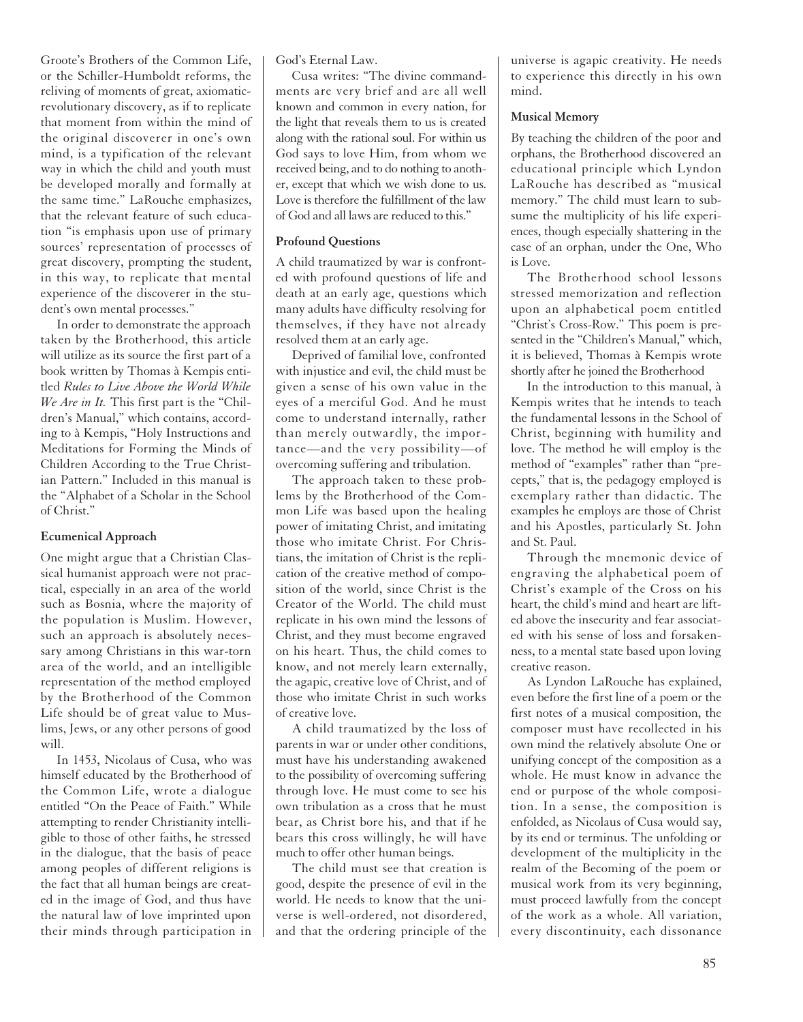Groote's Brothers of the Common Life, or the Schiller-Humboldt reforms, the reliving of moments of great, axiomaticrevolutionary discovery, as if to replicate that moment from within the mind of the original discoverer in one's own mind, is a typification of the relevant way in which the child and youth must be developed morally and formally at the same time." LaRouche emphasizes, that the relevant feature of such education "is emphasis upon use of primary sources' representation of processes of great discovery, prompting the student, in this way, to replicate that mental experience of the discoverer in the student's own mental processes."

In order to demonstrate the approach taken by the Brotherhood, this article will utilize as its source the first part of a book written by Thomas à Kempis entitled *Rules to Live Above the World While We Are in It.* This first part is the "Children's Manual," which contains, according to à Kempis, "Holy Instructions and Meditations for Forming the Minds of Children According to the True Christian Pattern." Included in this manual is the "Alphabet of a Scholar in the School of Christ."

#### **Ecumenical Approach**

One might argue that a Christian Classical humanist approach were not practical, especially in an area of the world such as Bosnia, where the majority of the population is Muslim. However, such an approach is absolutely necessary among Christians in this war-torn area of the world, and an intelligible representation of the method employed by the Brotherhood of the Common Life should be of great value to Muslims, Jews, or any other persons of good will.

In 1453, Nicolaus of Cusa, who was himself educated by the Brotherhood of the Common Life, wrote a dialogue entitled "On the Peace of Faith." While attempting to render Christianity intelligible to those of other faiths, he stressed in the dialogue, that the basis of peace among peoples of different religions is the fact that all human beings are created in the image of God, and thus have the natural law of love imprinted upon their minds through participation in God's Eternal Law.

Cusa writes: "The divine commandments are very brief and are all well known and common in every nation, for the light that reveals them to us is created along with the rational soul. For within us God says to love Him, from whom we received being, and to do nothing to another, except that which we wish done to us. Love is therefore the fulfillment of the law of God and all laws are reduced to this."

### **Profound Questions**

A child traumatized by war is confronted with profound questions of life and death at an early age, questions which many adults have difficulty resolving for themselves, if they have not already resolved them at an early age.

Deprived of familial love, confronted with injustice and evil, the child must be given a sense of his own value in the eyes of a merciful God. And he must come to understand internally, rather than merely outwardly, the importance—and the very possibility—of overcoming suffering and tribulation.

The approach taken to these problems by the Brotherhood of the Common Life was based upon the healing power of imitating Christ, and imitating those who imitate Christ. For Christians, the imitation of Christ is the replication of the creative method of composition of the world, since Christ is the Creator of the World. The child must replicate in his own mind the lessons of Christ, and they must become engraved on his heart. Thus, the child comes to know, and not merely learn externally, the agapic, creative love of Christ, and of those who imitate Christ in such works of creative love.

A child traumatized by the loss of parents in war or under other conditions, must have his understanding awakened to the possibility of overcoming suffering through love. He must come to see his own tribulation as a cross that he must bear, as Christ bore his, and that if he bears this cross willingly, he will have much to offer other human beings.

The child must see that creation is good, despite the presence of evil in the world. He needs to know that the universe is well-ordered, not disordered, and that the ordering principle of the

universe is agapic creativity. He needs to experience this directly in his own mind.

#### **Musical Memory**

By teaching the children of the poor and orphans, the Brotherhood discovered an educational principle which Lyndon LaRouche has described as "musical memory." The child must learn to subsume the multiplicity of his life experiences, though especially shattering in the case of an orphan, under the One, Who is Love.

The Brotherhood school lessons stressed memorization and reflection upon an alphabetical poem entitled "Christ's Cross-Row." This poem is presented in the "Children's Manual," which, it is believed, Thomas à Kempis wrote shortly after he joined the Brotherhood

In the introduction to this manual, à Kempis writes that he intends to teach the fundamental lessons in the School of Christ, beginning with humility and love. The method he will employ is the method of "examples" rather than "precepts," that is, the pedagogy employed is exemplary rather than didactic. The examples he employs are those of Christ and his Apostles, particularly St. John and St. Paul.

Through the mnemonic device of engraving the alphabetical poem of Christ's example of the Cross on his heart, the child's mind and heart are lifted above the insecurity and fear associated with his sense of loss and forsakenness, to a mental state based upon loving creative reason.

As Lyndon LaRouche has explained, even before the first line of a poem or the first notes of a musical composition, the composer must have recollected in his own mind the relatively absolute One or unifying concept of the composition as a whole. He must know in advance the end or purpose of the whole composition. In a sense, the composition is enfolded, as Nicolaus of Cusa would say, by its end or terminus. The unfolding or development of the multiplicity in the realm of the Becoming of the poem or musical work from its very beginning, must proceed lawfully from the concept of the work as a whole. All variation, every discontinuity, each dissonance